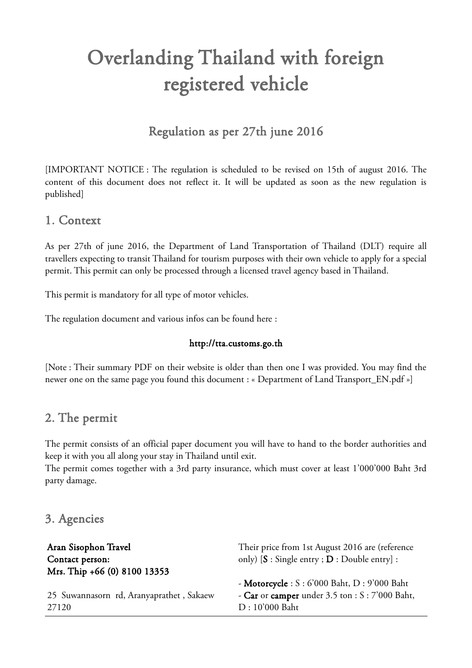# Overlanding Thailand with foreign registered vehicle

## Regulation as per 27th june 2016

[IMPORTANT NOTICE : The regulation is scheduled to be revised on 15th of august 2016. The content of this document does not reflect it. It will be updated as soon as the new regulation is published]

## 1. Context

As per 27th of june 2016, the Department of Land Transportation of Thailand (DLT) require all travellers expecting to transit Thailand for tourism purposes with their own vehicle to apply for a special permit. This permit can only be processed through a licensed travel agency based in Thailand.

This permit is mandatory for all type of motor vehicles.

The regulation document and various infos can be found here :

#### http://tta.customs.go.th

[Note : Their summary PDF on their website is older than then one I was provided. You may find the newer one on the same page you found this document : « Department of Land Transport\_EN.pdf »]

### 2. The permit

The permit consists of an official paper document you will have to hand to the border authorities and keep it with you all along your stay in Thailand until exit.

The permit comes together with a 3rd party insurance, which must cover at least 1'000'000 Baht 3rd party damage.

### 3. Agencies

| Aran Sisophon Travel                     | Their price from 1st August 2016 are (reference    |
|------------------------------------------|----------------------------------------------------|
| Contact person:                          | only) $[S : Single entry : D : Double entry]$ :    |
| Mrs. Thip +66 (0) 8100 13353             |                                                    |
|                                          | - Motorcycle : $S : 6'000$ Baht, $D : 9'000$ Baht  |
| 25 Suwannasorn rd, Aranyaprathet, Sakaew | - Car or camper under $3.5$ ton : $S: 7'000$ Baht, |
| 27120                                    | D: 10'000 Baht                                     |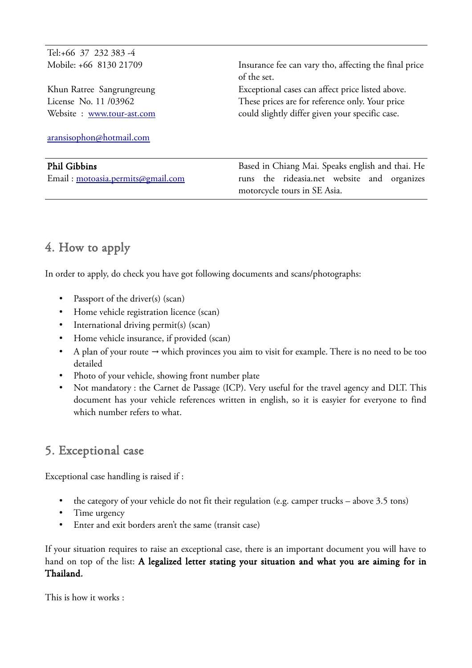Tel:+66 37 232 383 -4 Mobile: +66 8130 21709

Khun Ratree Sangrungreung License No. 11 /03962 Website : [www.tour-ast.com](http://www.tour-ast.com/)

[aransisophon@hotmail.com](mailto:aransisophon@hotmail.com)

#### Phil Gibbins

Email : [motoasia.permits@gmail.com](mailto:motoasia.permits@gmail.com)

Insurance fee can vary tho, affecting the final price of the set. Exceptional cases can affect price listed above. These prices are for reference only. Your price could slightly differ given your specific case.

Based in Chiang Mai. Speaks english and thai. He runs the rideasia.net website and organizes motorcycle tours in SE Asia.

## 4. How to apply

In order to apply, do check you have got following documents and scans/photographs:

- Passport of the driver(s) (scan)
- Home vehicle registration licence (scan)
- International driving permit(s) (scan)
- Home vehicle insurance, if provided (scan)
- A plan of your route  $\rightarrow$  which provinces you aim to visit for example. There is no need to be too detailed
- Photo of your vehicle, showing front number plate
- Not mandatory : the Carnet de Passage (ICP). Very useful for the travel agency and DLT. This document has your vehicle references written in english, so it is easyier for everyone to find which number refers to what.

# 5. Exceptional case

Exceptional case handling is raised if :

- the category of your vehicle do not fit their regulation (e.g. camper trucks above 3.5 tons)
- Time urgency
- Enter and exit borders aren't the same (transit case)

If your situation requires to raise an exceptional case, there is an important document you will have to hand on top of the list: A legalized letter stating your situation and what you are aiming for in Thailand.

This is how it works :